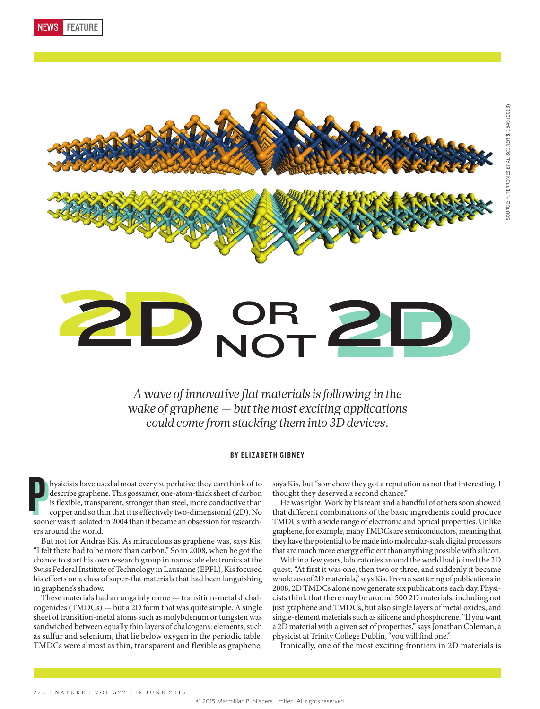



# 2D NOT 2D **OR NOT**

*A wave of innovative flat materials is following in the wake of graphene — but the most exciting applications could come from stacking them into 3D devices.*

### BY ELIZABETH GIBNEY

hysicists have used almost every superlative they can think of to describe graphene. This gossamer, one-atom-thick sheet of carbon is flexible, transparent, stronger than steel, more conductive than copper and so thin that hysicists have used almost every superlative they can think of to describe graphene. This gossamer, one-atom-thick sheet of carbon is flexible, transparent, stronger than steel, more conductive than copper and so thin that it is effectively two-dimensional (2D). No ers around the world. P

But not for Andras Kis. As miraculous as graphene was, says Kis, "I felt there had to be more than carbon." So in 2008, when he got the chance to start his own research group in nanoscale electronics at the Swiss Federal Institute of Technology in Lausanne (EPFL), Kis focused his efforts on a class of super-flat materials that had been languishing in graphene's shadow.

These materials had an ungainly name — transition-metal dichalcogenides (TMDCs) — but a 2D form that was quite simple. A single sheet of transition-metal atoms such as molybdenum or tungsten was sandwiched between equally thin layers of chalcogens: elements, such as sulfur and selenium, that lie below oxygen in the periodic table. TMDCs were almost as thin, transparent and flexible as graphene, says Kis, but "somehow they got a reputation as not that interesting. I thought they deserved a second chance."

He was right. Work by his team and a handful of others soon showed that different combinations of the basic ingredients could produce TMDCs with a wide range of electronic and optical properties. Unlike graphene, for example, many TMDCs are semiconductors, meaning that they have the potential to be made into molecular-scale digital processors that are much more energy efficient than anything possible with silicon.

Within a few years, laboratories around the world had joined the 2D quest. "At first it was one, then two or three, and suddenly it became whole zoo of 2D materials," says Kis. From a scattering of publications in 2008, 2D TMDCs alone now generate six publications each day. Physicists think that there may be around 500 2D materials, including not just graphene and TMDCs, but also single layers of metal oxides, and single-element materials such as silicene and phosphorene. "If you want a 2D material with a given set of properties," says Jonathan Coleman, a physicist at Trinity College Dublin, "you will find one."

Ironically, one of the most exciting frontiers in 2D materials is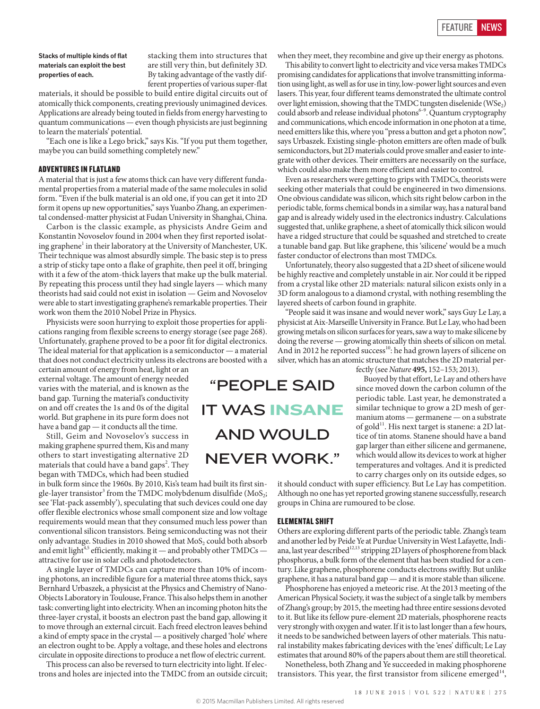**Stacks of multiple kinds of flat materials can exploit the best properties of each.**

stacking them into structures that are still very thin, but definitely 3D. By taking advantage of the vastly different properties of various super-flat

materials, it should be possible to build entire digital circuits out of atomically thick components, creating previously unimagined devices. Applications are already being touted in fields from energy harvesting to quantum communications — even though physicists are just beginning to learn the materials' potential.

"Each one is like a Lego brick," says Kis. "If you put them together, maybe you can build something completely new."

#### ADVENTURES IN FLATLAND

A material that is just a few atoms thick can have very different fundamental properties from a material made of the same molecules in solid form. "Even if the bulk material is an old one, if you can get it into 2D form it opens up new opportunities," says Yuanbo Zhang, an experimental condensed-matter physicist at Fudan University in Shanghai, China.

Carbon is the classic example, as physicists Andre Geim and Konstantin Novoselov found in 2004 when they first reported isolating graphene<sup>1</sup> in their laboratory at the University of Manchester, UK. Their technique was almost absurdly simple. The basic step is to press a strip of sticky tape onto a flake of graphite, then peel it off, bringing with it a few of the atom-thick layers that make up the bulk material. By repeating this process until they had single layers — which many theorists had said could not exist in isolation — Geim and Novoselov were able to start investigating graphene's remarkable properties. Their work won them the 2010 Nobel Prize in Physics.

Physicists were soon hurrying to exploit those properties for applications ranging from flexible screens to energy storage (see page 268). Unfortunately, graphene proved to be a poor fit for digital electronics. The ideal material for that application is a semiconductor — a material that does not conduct electricity unless its electrons are boosted with a

certain amount of energy from heat, light or an external voltage. The amount of energy needed varies with the material, and is known as the band gap. Turning the material's conductivity on and off creates the 1s and 0s of the digital world. But graphene in its pure form does not have a band gap — it conducts all the time.

Still, Geim and Novoselov's success in making graphene spurred them, Kis and many others to start investigating alternative 2D materials that could have a band gaps<sup>2</sup>. They began with TMDCs, which had been studied

in bulk form since the 1960s. By 2010, Kis's team had built its first single-layer transistor<sup>3</sup> from the TMDC molybdenum disulfide (MoS<sub>2</sub>; see 'Flat-pack assembly'), speculating that such devices could one day offer flexible electronics whose small component size and low voltage requirements would mean that they consumed much less power than conventional silicon transistors. Being semiconducting was not their only advantage. Studies in 2010 showed that MoS<sub>2</sub> could both absorb and emit light<sup>4,5</sup> efficiently, making it — and probably other  $\text{TMDCs}$  attractive for use in solar cells and photodetectors.

A single layer of TMDCs can capture more than 10% of incoming photons, an incredible figure for a material three atoms thick, says Bernhard Urbaszek, a physicist at the Physics and Chemistry of Nano-Objects Laboratory in Toulouse, France. This also helps them in another task: converting light into electricity. When an incoming photon hits the three-layer crystal, it boosts an electron past the band gap, allowing it to move through an external circuit. Each freed electron leaves behind a kind of empty space in the crystal — a positively charged 'hole' where an electron ought to be. Apply a voltage, and these holes and electrons circulate in opposite directions to produce a net flow of electric current.

This process can also be reversed to turn electricity into light. If electrons and holes are injected into the TMDC from an outside circuit; when they meet, they recombine and give up their energy as photons.

This ability to convert light to electricity and vice versa makes TMDCs promising candidates for applications that involve transmitting information using light, as well as for use in tiny, low-power light sources and even lasers. This year, four different teams demonstrated the ultimate control over light emission, showing that the TMDC tungsten diselenide (WSe<sub>2</sub>) could absorb and release individual photons<sup>6-9</sup>. Quantum cryptography and communications, which encode information in one photon at a time, need emitters like this, where you "press a button and get a photon now", says Urbaszek. Existing single-photon emitters are often made of bulk semiconductors, but 2D materials could prove smaller and easier to integrate with other devices. Their emitters are necessarily on the surface, which could also make them more efficient and easier to control.

Even as researchers were getting to grips with TMDCs, theorists were seeking other materials that could be engineered in two dimensions. One obvious candidate was silicon, which sits right below carbon in the periodic table, forms chemical bonds in a similar way, has a natural band gap and is already widely used in the electronics industry. Calculations suggested that, unlike graphene, a sheet of atomically thick silicon would have a ridged structure that could be squashed and stretched to create a tunable band gap. But like graphene, this 'silicene' would be a much faster conductor of electrons than most TMDCs.

Unfortunately, theory also suggested that a 2D sheet of silicene would be highly reactive and completely unstable in air. Nor could it be ripped from a crystal like other 2D materials: natural silicon exists only in a 3D form analogous to a diamond crystal, with nothing resembling the layered sheets of carbon found in graphite.

"People said it was insane and would never work," says Guy Le Lay, a physicist at Aix-Marseille University in France. But Le Lay, who had been growing metals on silicon surfaces for years, saw a way to make silicene by doing the reverse — growing atomically thin sheets of silicon on metal. And in 2012 he reported success<sup>10</sup>: he had grown layers of silicene on silver, which has an atomic structure that matches the 2D material per-

"PEOPLE SAID IT WAS INSANE AND WOULD NEVER WORK."

fectly (see *Nature* **495,** 152–153; 2013).

Buoyed by that effort, Le Lay and others have since moved down the carbon column of the periodic table. Last year, he demonstrated a similar technique to grow a 2D mesh of germanium atoms — germanene — on a substrate of gold<sup>11</sup>. His next target is stanene: a 2D lattice of tin atoms. Stanene should have a band gap larger than either silicene and germanene, which would allow its devices to work at higher temperatures and voltages. And it is predicted to carry charges only on its outside edges, so

it should conduct with super efficiency. But Le Lay has competition. Although no one has yet reported growing stanene successfully, research groups in China are rumoured to be close.

#### ELEMENTAL SHIFT

Others are exploring different parts of the periodic table. Zhang's team and another led by Peide Ye at Purdue University in West Lafayette, Indiana, last year described $^{12,13}$  stripping 2D layers of phosphorene from black phosphorus, a bulk form of the element that has been studied for a century. Like graphene, phosphorene conducts electrons swiftly. But unlike graphene, it has a natural band gap — and it is more stable than silicene.

Phosphorene has enjoyed a meteoric rise. At the 2013 meeting of the American Physical Society, it was the subject of a single talk by members of Zhang's group; by 2015, the meeting had three entire sessions devoted to it. But like its fellow pure-element 2D materials, phosphorene reacts very strongly with oxygen and water. If it is to last longer than a few hours, it needs to be sandwiched between layers of other materials. This natural instability makes fabricating devices with the 'enes' difficult; Le Lay estimates that around 80% of the papers about them are still theoretical.

Nonetheless, both Zhang and Ye succeeded in making phosphorene transistors. This year, the first transistor from silicene emerged $14$ ,